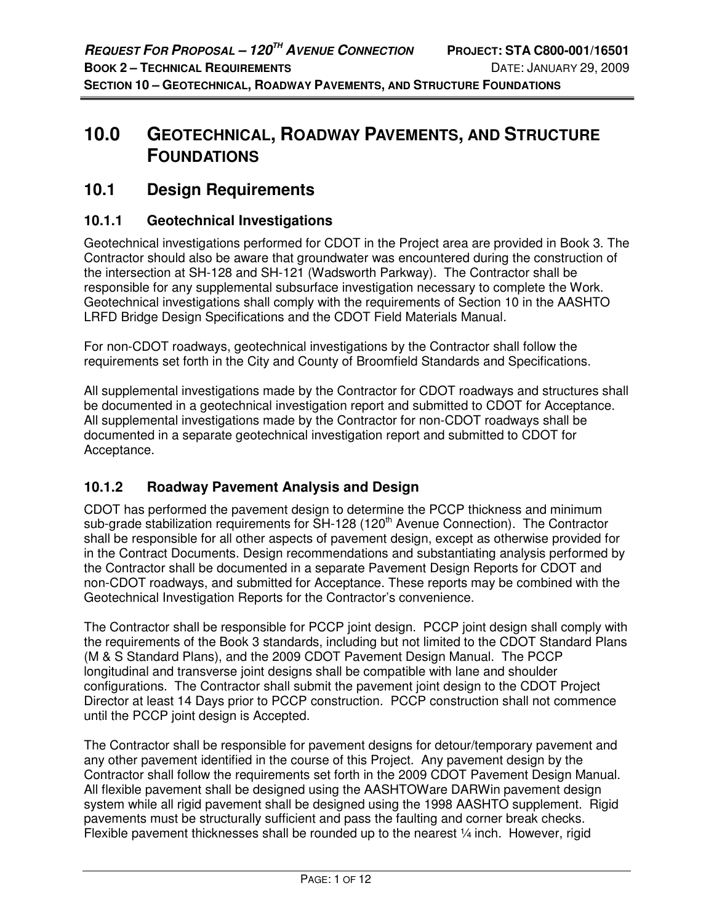# **10.0 GEOTECHNICAL, ROADWAY PAVEMENTS, AND STRUCTURE FOUNDATIONS**

# **10.1 Design Requirements**

# **10.1.1 Geotechnical Investigations**

Geotechnical investigations performed for CDOT in the Project area are provided in Book 3. The Contractor should also be aware that groundwater was encountered during the construction of the intersection at SH-128 and SH-121 (Wadsworth Parkway). The Contractor shall be responsible for any supplemental subsurface investigation necessary to complete the Work. Geotechnical investigations shall comply with the requirements of Section 10 in the AASHTO LRFD Bridge Design Specifications and the CDOT Field Materials Manual.

For non-CDOT roadways, geotechnical investigations by the Contractor shall follow the requirements set forth in the City and County of Broomfield Standards and Specifications.

All supplemental investigations made by the Contractor for CDOT roadways and structures shall be documented in a geotechnical investigation report and submitted to CDOT for Acceptance. All supplemental investigations made by the Contractor for non-CDOT roadways shall be documented in a separate geotechnical investigation report and submitted to CDOT for Acceptance.

# **10.1.2 Roadway Pavement Analysis and Design**

CDOT has performed the pavement design to determine the PCCP thickness and minimum sub-grade stabilization requirements for SH-128 (120<sup>th</sup> Avenue Connection). The Contractor shall be responsible for all other aspects of pavement design, except as otherwise provided for in the Contract Documents. Design recommendations and substantiating analysis performed by the Contractor shall be documented in a separate Pavement Design Reports for CDOT and non-CDOT roadways, and submitted for Acceptance. These reports may be combined with the Geotechnical Investigation Reports for the Contractor's convenience.

The Contractor shall be responsible for PCCP joint design. PCCP joint design shall comply with the requirements of the Book 3 standards, including but not limited to the CDOT Standard Plans (M & S Standard Plans), and the 2009 CDOT Pavement Design Manual. The PCCP longitudinal and transverse joint designs shall be compatible with lane and shoulder configurations. The Contractor shall submit the pavement joint design to the CDOT Project Director at least 14 Days prior to PCCP construction. PCCP construction shall not commence until the PCCP joint design is Accepted.

The Contractor shall be responsible for pavement designs for detour/temporary pavement and any other pavement identified in the course of this Project. Any pavement design by the Contractor shall follow the requirements set forth in the 2009 CDOT Pavement Design Manual. All flexible pavement shall be designed using the AASHTOWare DARWin pavement design system while all rigid pavement shall be designed using the 1998 AASHTO supplement. Rigid pavements must be structurally sufficient and pass the faulting and corner break checks. Flexible pavement thicknesses shall be rounded up to the nearest 1/4 inch. However, rigid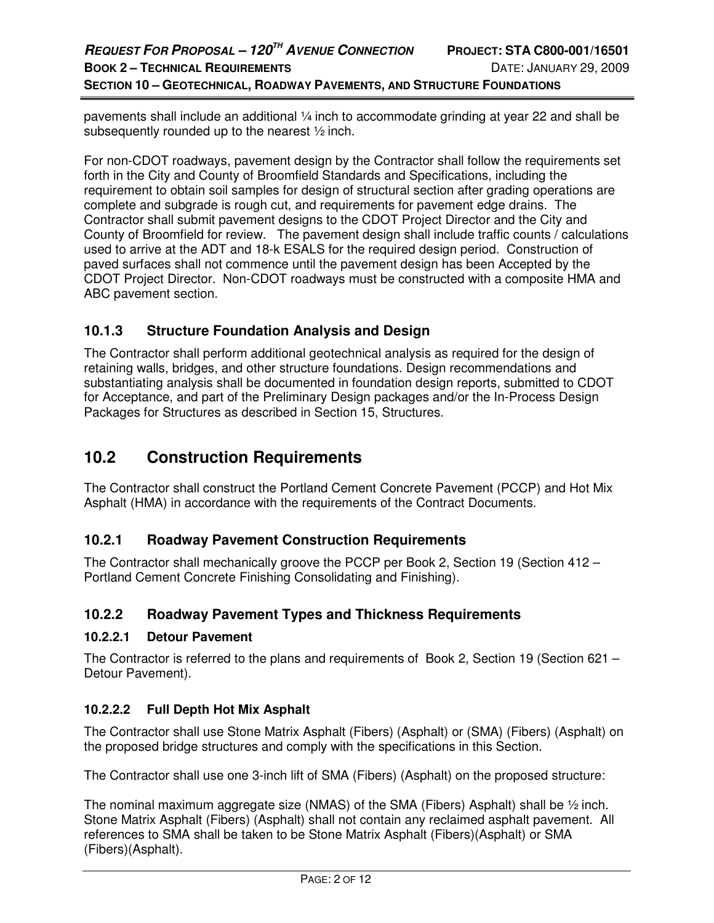pavements shall include an additional ¼ inch to accommodate grinding at year 22 and shall be subsequently rounded up to the nearest ½ inch.

For non-CDOT roadways, pavement design by the Contractor shall follow the requirements set forth in the City and County of Broomfield Standards and Specifications, including the requirement to obtain soil samples for design of structural section after grading operations are complete and subgrade is rough cut, and requirements for pavement edge drains. The Contractor shall submit pavement designs to the CDOT Project Director and the City and County of Broomfield for review. The pavement design shall include traffic counts / calculations used to arrive at the ADT and 18-k ESALS for the required design period. Construction of paved surfaces shall not commence until the pavement design has been Accepted by the CDOT Project Director. Non-CDOT roadways must be constructed with a composite HMA and ABC pavement section.

# **10.1.3 Structure Foundation Analysis and Design**

The Contractor shall perform additional geotechnical analysis as required for the design of retaining walls, bridges, and other structure foundations. Design recommendations and substantiating analysis shall be documented in foundation design reports, submitted to CDOT for Acceptance, and part of the Preliminary Design packages and/or the In-Process Design Packages for Structures as described in Section 15, Structures.

# **10.2 Construction Requirements**

The Contractor shall construct the Portland Cement Concrete Pavement (PCCP) and Hot Mix Asphalt (HMA) in accordance with the requirements of the Contract Documents.

# **10.2.1 Roadway Pavement Construction Requirements**

The Contractor shall mechanically groove the PCCP per Book 2, Section 19 (Section 412 – Portland Cement Concrete Finishing Consolidating and Finishing).

# **10.2.2 Roadway Pavement Types and Thickness Requirements**

### **10.2.2.1 Detour Pavement**

The Contractor is referred to the plans and requirements of Book 2, Section 19 (Section 621 – Detour Pavement).

## **10.2.2.2 Full Depth Hot Mix Asphalt**

The Contractor shall use Stone Matrix Asphalt (Fibers) (Asphalt) or (SMA) (Fibers) (Asphalt) on the proposed bridge structures and comply with the specifications in this Section.

The Contractor shall use one 3-inch lift of SMA (Fibers) (Asphalt) on the proposed structure:

The nominal maximum aggregate size (NMAS) of the SMA (Fibers) Asphalt) shall be  $\frac{1}{2}$  inch. Stone Matrix Asphalt (Fibers) (Asphalt) shall not contain any reclaimed asphalt pavement. All references to SMA shall be taken to be Stone Matrix Asphalt (Fibers)(Asphalt) or SMA (Fibers)(Asphalt).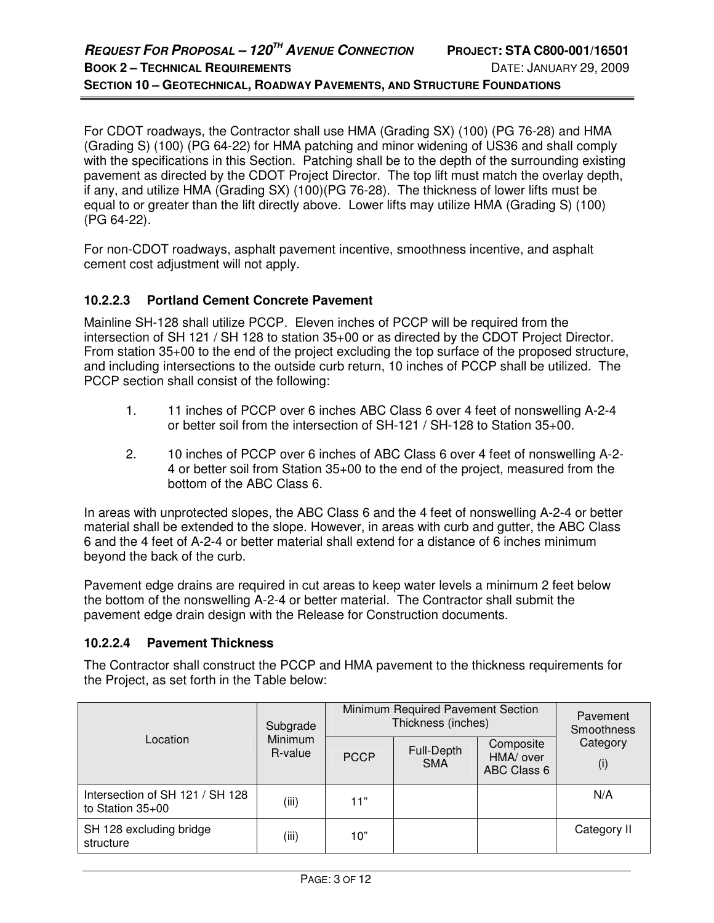For CDOT roadways, the Contractor shall use HMA (Grading SX) (100) (PG 76-28) and HMA (Grading S) (100) (PG 64-22) for HMA patching and minor widening of US36 and shall comply with the specifications in this Section. Patching shall be to the depth of the surrounding existing pavement as directed by the CDOT Project Director. The top lift must match the overlay depth, if any, and utilize HMA (Grading SX) (100)(PG 76-28). The thickness of lower lifts must be equal to or greater than the lift directly above. Lower lifts may utilize HMA (Grading S) (100) (PG 64-22).

For non-CDOT roadways, asphalt pavement incentive, smoothness incentive, and asphalt cement cost adjustment will not apply.

## **10.2.2.3 Portland Cement Concrete Pavement**

Mainline SH-128 shall utilize PCCP. Eleven inches of PCCP will be required from the intersection of SH 121 / SH 128 to station 35+00 or as directed by the CDOT Project Director. From station 35+00 to the end of the project excluding the top surface of the proposed structure, and including intersections to the outside curb return, 10 inches of PCCP shall be utilized. The PCCP section shall consist of the following:

- 1. 11 inches of PCCP over 6 inches ABC Class 6 over 4 feet of nonswelling A-2-4 or better soil from the intersection of SH-121 / SH-128 to Station 35+00.
- 2. 10 inches of PCCP over 6 inches of ABC Class 6 over 4 feet of nonswelling A-2- 4 or better soil from Station 35+00 to the end of the project, measured from the bottom of the ABC Class 6.

In areas with unprotected slopes, the ABC Class 6 and the 4 feet of nonswelling A-2-4 or better material shall be extended to the slope. However, in areas with curb and gutter, the ABC Class 6 and the 4 feet of A-2-4 or better material shall extend for a distance of 6 inches minimum beyond the back of the curb.

Pavement edge drains are required in cut areas to keep water levels a minimum 2 feet below the bottom of the nonswelling A-2-4 or better material. The Contractor shall submit the pavement edge drain design with the Release for Construction documents.

### **10.2.2.4 Pavement Thickness**

The Contractor shall construct the PCCP and HMA pavement to the thickness requirements for the Project, as set forth in the Table below:

|                                                     | Subgrade           | Minimum Required Pavement Section<br>Thickness (inches) | Pavement<br>Smoothness   |                                       |                 |
|-----------------------------------------------------|--------------------|---------------------------------------------------------|--------------------------|---------------------------------------|-----------------|
| Location                                            | Minimum<br>R-value | <b>PCCP</b>                                             | Full-Depth<br><b>SMA</b> | Composite<br>HMA/ over<br>ABC Class 6 | Category<br>(i) |
| Intersection of SH 121 / SH 128<br>to Station 35+00 | (iii)              | 11"                                                     |                          |                                       | N/A             |
| SH 128 excluding bridge<br>structure                | (iii)              | 10"                                                     |                          |                                       | Category II     |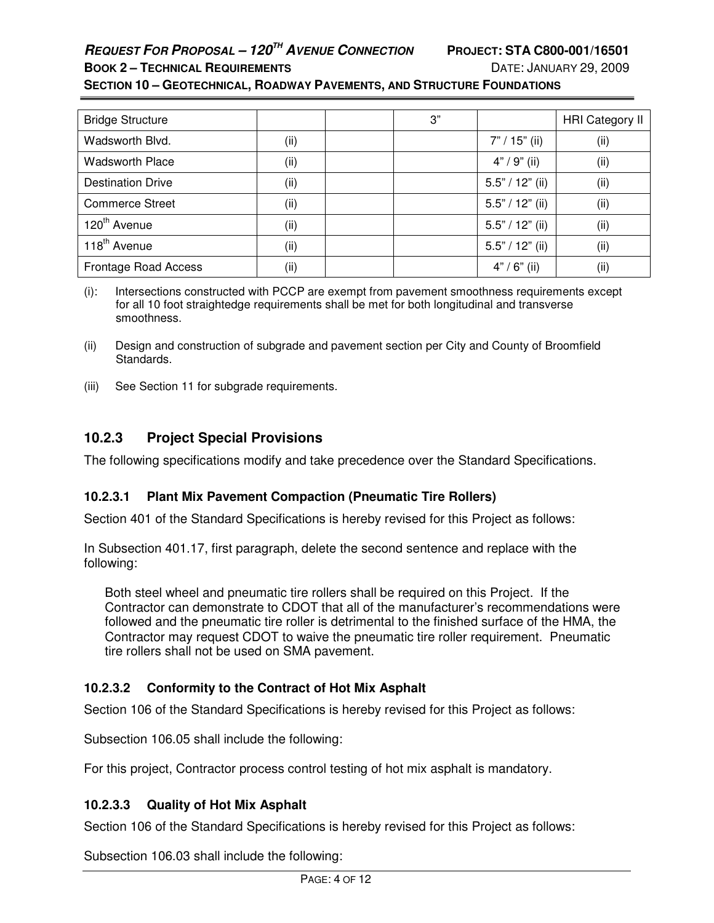# **REQUEST FOR PROPOSAL – 120TH AVENUE CONNECTION PROJECT: STA C800-001/16501**

#### **BOOK 2 – TECHNICAL REQUIREMENTS** DATE: JANUARY 29, 2009 **SECTION 10 – GEOTECHNICAL, ROADWAY PAVEMENTS, AND STRUCTURE FOUNDATIONS**

| <b>Bridge Structure</b>     |       | 3" |                   | <b>HRI Category II</b> |
|-----------------------------|-------|----|-------------------|------------------------|
| Wadsworth Blvd.             | (iii) |    | $7" / 15"$ (ii)   | (ii)                   |
| <b>Wadsworth Place</b>      | (ii)  |    | $4" / 9"$ (ii)    | (ii)                   |
| <b>Destination Drive</b>    | (ii)  |    | $5.5" / 12"$ (ii) | (ii)                   |
| <b>Commerce Street</b>      | (ii)  |    | $5.5" / 12"$ (ii) | (ii)                   |
| 120 <sup>th</sup> Avenue    | (ii)  |    | $5.5" / 12"$ (ii) | (ii)                   |
| 118 <sup>th</sup> Avenue    | (ii)  |    | $5.5" / 12"$ (ii) | (ii)                   |
| <b>Frontage Road Access</b> | (ii)  |    | $4" / 6"$ (ii)    | (i)                    |

(i): Intersections constructed with PCCP are exempt from pavement smoothness requirements except for all 10 foot straightedge requirements shall be met for both longitudinal and transverse smoothness.

(ii) Design and construction of subgrade and pavement section per City and County of Broomfield Standards.

(iii) See Section 11 for subgrade requirements.

# **10.2.3 Project Special Provisions**

The following specifications modify and take precedence over the Standard Specifications.

## **10.2.3.1 Plant Mix Pavement Compaction (Pneumatic Tire Rollers)**

Section 401 of the Standard Specifications is hereby revised for this Project as follows:

In Subsection 401.17, first paragraph, delete the second sentence and replace with the following:

Both steel wheel and pneumatic tire rollers shall be required on this Project. If the Contractor can demonstrate to CDOT that all of the manufacturer's recommendations were followed and the pneumatic tire roller is detrimental to the finished surface of the HMA, the Contractor may request CDOT to waive the pneumatic tire roller requirement. Pneumatic tire rollers shall not be used on SMA pavement.

## **10.2.3.2 Conformity to the Contract of Hot Mix Asphalt**

Section 106 of the Standard Specifications is hereby revised for this Project as follows:

Subsection 106.05 shall include the following:

For this project, Contractor process control testing of hot mix asphalt is mandatory.

## **10.2.3.3 Quality of Hot Mix Asphalt**

Section 106 of the Standard Specifications is hereby revised for this Project as follows:

Subsection 106.03 shall include the following: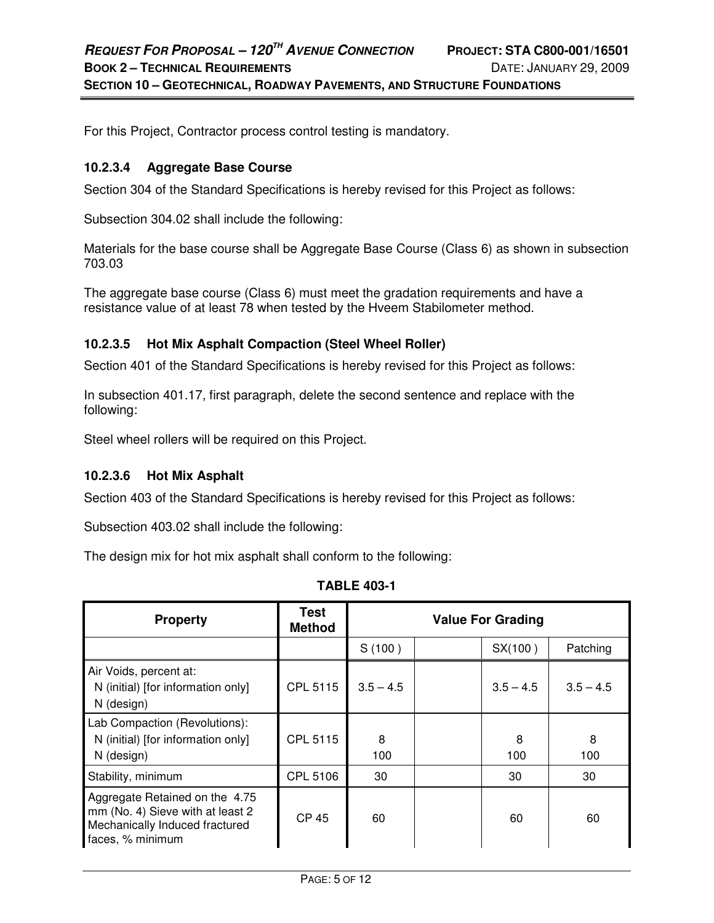For this Project, Contractor process control testing is mandatory.

### **10.2.3.4 Aggregate Base Course**

Section 304 of the Standard Specifications is hereby revised for this Project as follows:

Subsection 304.02 shall include the following:

Materials for the base course shall be Aggregate Base Course (Class 6) as shown in subsection 703.03

The aggregate base course (Class 6) must meet the gradation requirements and have a resistance value of at least 78 when tested by the Hveem Stabilometer method.

## **10.2.3.5 Hot Mix Asphalt Compaction (Steel Wheel Roller)**

Section 401 of the Standard Specifications is hereby revised for this Project as follows:

In subsection 401.17, first paragraph, delete the second sentence and replace with the following:

Steel wheel rollers will be required on this Project.

### **10.2.3.6 Hot Mix Asphalt**

Section 403 of the Standard Specifications is hereby revised for this Project as follows:

Subsection 403.02 shall include the following:

The design mix for hot mix asphalt shall conform to the following:

| <b>Property</b>                                                                                                          | <b>Test</b><br><b>Method</b> | <b>Value For Grading</b> |  |             |             |
|--------------------------------------------------------------------------------------------------------------------------|------------------------------|--------------------------|--|-------------|-------------|
|                                                                                                                          |                              | S(100)                   |  | SX(100)     | Patching    |
| Air Voids, percent at:<br>N (initial) [for information only]<br>N (design)                                               | CPL 5115                     | $3.5 - 4.5$              |  | $3.5 - 4.5$ | $3.5 - 4.5$ |
| Lab Compaction (Revolutions):<br>N (initial) [for information only]<br>N (design)                                        | CPL 5115                     | 8<br>100                 |  | 8<br>100    | 8<br>100    |
| Stability, minimum                                                                                                       | <b>CPL 5106</b>              | 30                       |  | 30          | 30          |
| Aggregate Retained on the 4.75<br>mm (No. 4) Sieve with at least 2<br>Mechanically Induced fractured<br>faces, % minimum | <b>CP 45</b>                 | 60                       |  | 60          | 60          |

**TABLE 403-1**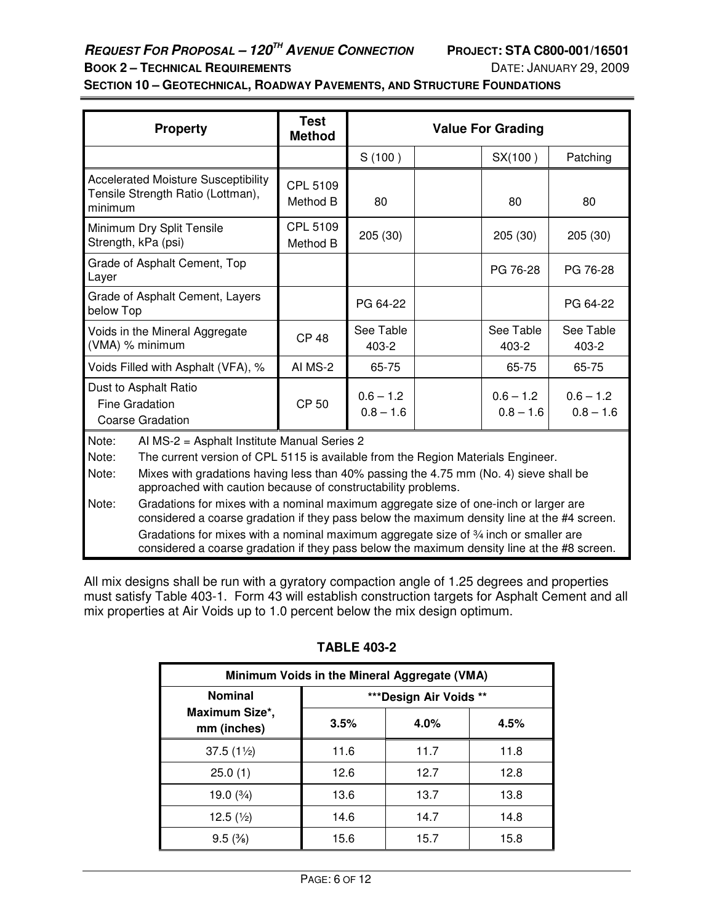# **REQUEST FOR PROPOSAL – 120TH AVENUE CONNECTION PROJECT: STA C800-001/16501 BOOK 2 – TECHNICAL REQUIREMENTS** DATE: JANUARY 29, 2009

## **SECTION 10 – GEOTECHNICAL, ROADWAY PAVEMENTS, AND STRUCTURE FOUNDATIONS**

| <b>Property</b>                                                                                                                                                                                                                                                                                                                                                                     | <b>Test</b><br><b>Method</b> | <b>Value For Grading</b>   |  |                            |                            |
|-------------------------------------------------------------------------------------------------------------------------------------------------------------------------------------------------------------------------------------------------------------------------------------------------------------------------------------------------------------------------------------|------------------------------|----------------------------|--|----------------------------|----------------------------|
|                                                                                                                                                                                                                                                                                                                                                                                     |                              | S(100)                     |  | SX(100)                    | Patching                   |
| <b>Accelerated Moisture Susceptibility</b><br>Tensile Strength Ratio (Lottman),<br>minimum                                                                                                                                                                                                                                                                                          | CPL 5109<br>Method B         | 80                         |  | 80                         | 80                         |
| Minimum Dry Split Tensile<br>Strength, kPa (psi)                                                                                                                                                                                                                                                                                                                                    | CPL 5109<br>Method B         | 205 (30)                   |  | 205 (30)                   | 205(30)                    |
| Grade of Asphalt Cement, Top<br>Layer                                                                                                                                                                                                                                                                                                                                               |                              |                            |  | PG 76-28                   | PG 76-28                   |
| Grade of Asphalt Cement, Layers<br>below Top                                                                                                                                                                                                                                                                                                                                        |                              | PG 64-22                   |  |                            | PG 64-22                   |
| Voids in the Mineral Aggregate<br>(VMA) % minimum                                                                                                                                                                                                                                                                                                                                   | <b>CP 48</b>                 | See Table<br>403-2         |  | See Table<br>403-2         | See Table<br>403-2         |
| Voids Filled with Asphalt (VFA), %                                                                                                                                                                                                                                                                                                                                                  | AI MS-2<br>65-75<br>65-75    |                            |  | 65-75                      |                            |
| Dust to Asphalt Ratio<br><b>Fine Gradation</b><br><b>Coarse Gradation</b>                                                                                                                                                                                                                                                                                                           | <b>CP 50</b>                 | $0.6 - 1.2$<br>$0.8 - 1.6$ |  | $0.6 - 1.2$<br>$0.8 - 1.6$ | $0.6 - 1.2$<br>$0.8 - 1.6$ |
| Al MS-2 = Asphalt Institute Manual Series 2<br>Note:<br>Note:<br>The current version of CPL 5115 is available from the Region Materials Engineer.<br>Mixes with gradations having less than 40% passing the 4.75 mm (No. 4) sieve shall be<br>Note:<br>approached with caution because of constructability problems.                                                                |                              |                            |  |                            |                            |
| Gradations for mixes with a nominal maximum aggregate size of one-inch or larger are<br>Note:<br>considered a coarse gradation if they pass below the maximum density line at the #4 screen.<br>Gradations for mixes with a nominal maximum aggregate size of 34 inch or smaller are<br>considered a coarse gradation if they pass below the maximum density line at the #8 screen. |                              |                            |  |                            |                            |

All mix designs shall be run with a gyratory compaction angle of 1.25 degrees and properties must satisfy Table 403-1. Form 43 will establish construction targets for Asphalt Cement and all mix properties at Air Voids up to 1.0 percent below the mix design optimum.

| Minimum Voids in the Mineral Aggregate (VMA) |                         |      |      |  |
|----------------------------------------------|-------------------------|------|------|--|
| <b>Nominal</b>                               | *** Design Air Voids ** |      |      |  |
| Maximum Size*,<br>mm (inches)                | 3.5%                    | 4.0% | 4.5% |  |
| $37.5(1\%)$                                  | 11.6                    | 11.7 | 11.8 |  |
| 25.0(1)                                      | 12.6                    | 12.7 | 12.8 |  |
| 19.0 $(3/4)$                                 | 13.6                    | 13.7 | 13.8 |  |
| 12.5 $(\frac{1}{2})$                         | 14.6                    | 14.7 | 14.8 |  |
| $9.5\,(%)$                                   | 15.6                    | 15.7 | 15.8 |  |

### **TABLE 403-2**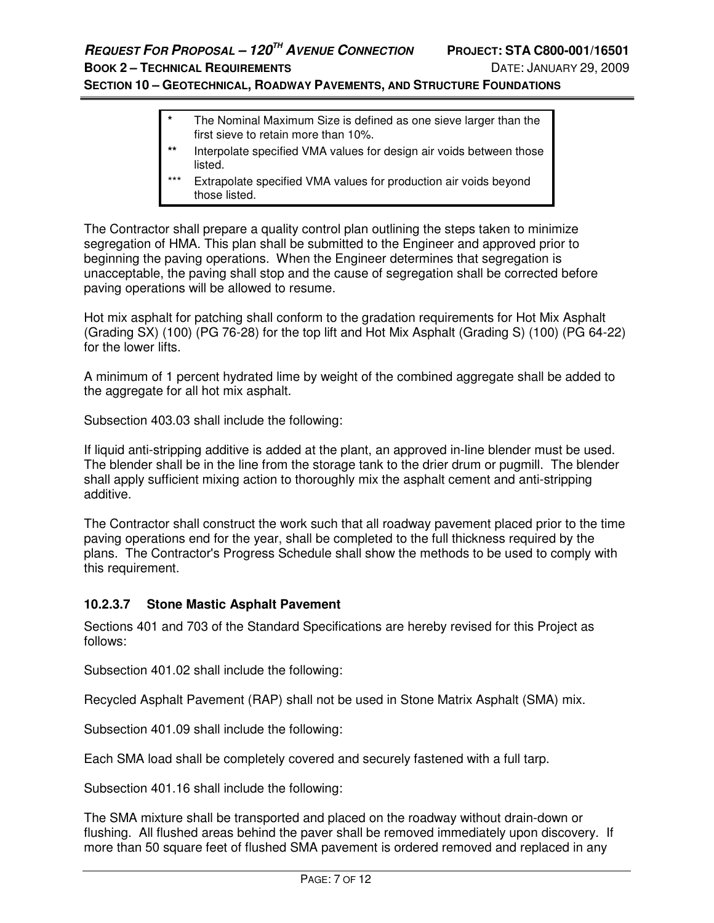# **REQUEST FOR PROPOSAL – 120TH AVENUE CONNECTION PROJECT: STA C800-001/16501**

## **SECTION 10 – GEOTECHNICAL, ROADWAY PAVEMENTS, AND STRUCTURE FOUNDATIONS**

- **\*** The Nominal Maximum Size is defined as one sieve larger than the first sieve to retain more than 10%.
- Interpolate specified VMA values for design air voids between those listed.
- Extrapolate specified VMA values for production air voids beyond those listed.

The Contractor shall prepare a quality control plan outlining the steps taken to minimize segregation of HMA. This plan shall be submitted to the Engineer and approved prior to beginning the paving operations. When the Engineer determines that segregation is unacceptable, the paving shall stop and the cause of segregation shall be corrected before paving operations will be allowed to resume.

Hot mix asphalt for patching shall conform to the gradation requirements for Hot Mix Asphalt (Grading SX) (100) (PG 76-28) for the top lift and Hot Mix Asphalt (Grading S) (100) (PG 64-22) for the lower lifts.

A minimum of 1 percent hydrated lime by weight of the combined aggregate shall be added to the aggregate for all hot mix asphalt.

Subsection 403.03 shall include the following:

If liquid anti-stripping additive is added at the plant, an approved in-line blender must be used. The blender shall be in the line from the storage tank to the drier drum or pugmill. The blender shall apply sufficient mixing action to thoroughly mix the asphalt cement and anti-stripping additive.

The Contractor shall construct the work such that all roadway pavement placed prior to the time paving operations end for the year, shall be completed to the full thickness required by the plans. The Contractor's Progress Schedule shall show the methods to be used to comply with this requirement.

### **10.2.3.7 Stone Mastic Asphalt Pavement**

Sections 401 and 703 of the Standard Specifications are hereby revised for this Project as follows:

Subsection 401.02 shall include the following:

Recycled Asphalt Pavement (RAP) shall not be used in Stone Matrix Asphalt (SMA) mix.

Subsection 401.09 shall include the following:

Each SMA load shall be completely covered and securely fastened with a full tarp.

Subsection 401.16 shall include the following:

The SMA mixture shall be transported and placed on the roadway without drain-down or flushing. All flushed areas behind the paver shall be removed immediately upon discovery. If more than 50 square feet of flushed SMA pavement is ordered removed and replaced in any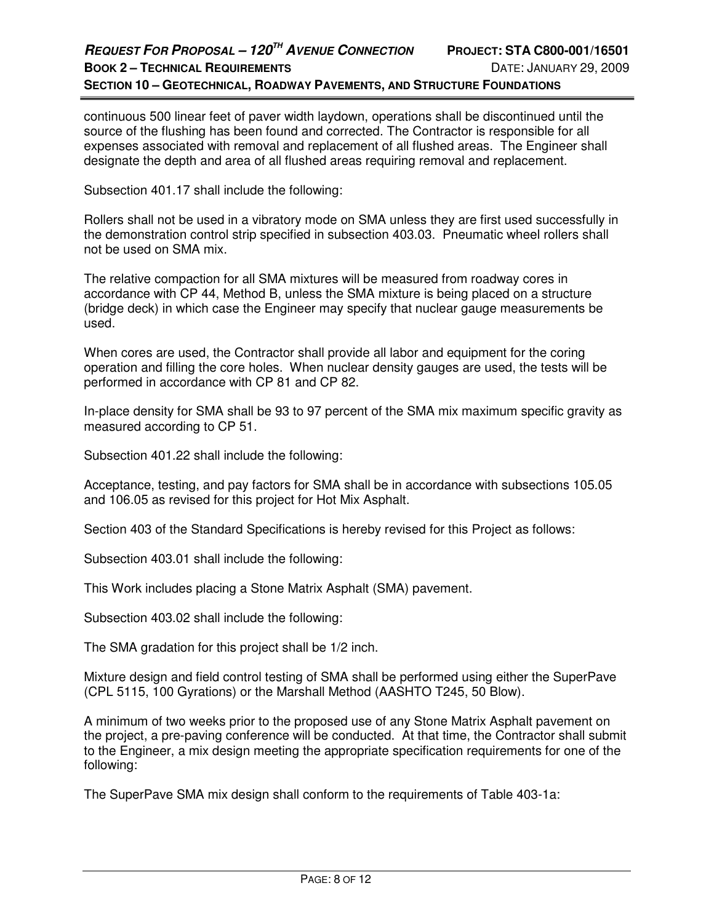## **REQUEST FOR PROPOSAL – 120TH AVENUE CONNECTION PROJECT: STA C800-001/16501 BOOK 2 – TECHNICAL REQUIREMENTS** DATE: JANUARY 29, 2009 **SECTION 10 – GEOTECHNICAL, ROADWAY PAVEMENTS, AND STRUCTURE FOUNDATIONS**

continuous 500 linear feet of paver width laydown, operations shall be discontinued until the source of the flushing has been found and corrected. The Contractor is responsible for all expenses associated with removal and replacement of all flushed areas. The Engineer shall designate the depth and area of all flushed areas requiring removal and replacement.

Subsection 401.17 shall include the following:

Rollers shall not be used in a vibratory mode on SMA unless they are first used successfully in the demonstration control strip specified in subsection 403.03. Pneumatic wheel rollers shall not be used on SMA mix.

The relative compaction for all SMA mixtures will be measured from roadway cores in accordance with CP 44, Method B, unless the SMA mixture is being placed on a structure (bridge deck) in which case the Engineer may specify that nuclear gauge measurements be used.

When cores are used, the Contractor shall provide all labor and equipment for the coring operation and filling the core holes. When nuclear density gauges are used, the tests will be performed in accordance with CP 81 and CP 82.

In-place density for SMA shall be 93 to 97 percent of the SMA mix maximum specific gravity as measured according to CP 51.

Subsection 401.22 shall include the following:

Acceptance, testing, and pay factors for SMA shall be in accordance with subsections 105.05 and 106.05 as revised for this project for Hot Mix Asphalt.

Section 403 of the Standard Specifications is hereby revised for this Project as follows:

Subsection 403.01 shall include the following:

This Work includes placing a Stone Matrix Asphalt (SMA) pavement.

Subsection 403.02 shall include the following:

The SMA gradation for this project shall be 1/2 inch.

Mixture design and field control testing of SMA shall be performed using either the SuperPave (CPL 5115, 100 Gyrations) or the Marshall Method (AASHTO T245, 50 Blow).

A minimum of two weeks prior to the proposed use of any Stone Matrix Asphalt pavement on the project, a pre-paving conference will be conducted. At that time, the Contractor shall submit to the Engineer, a mix design meeting the appropriate specification requirements for one of the following:

The SuperPave SMA mix design shall conform to the requirements of Table 403-1a: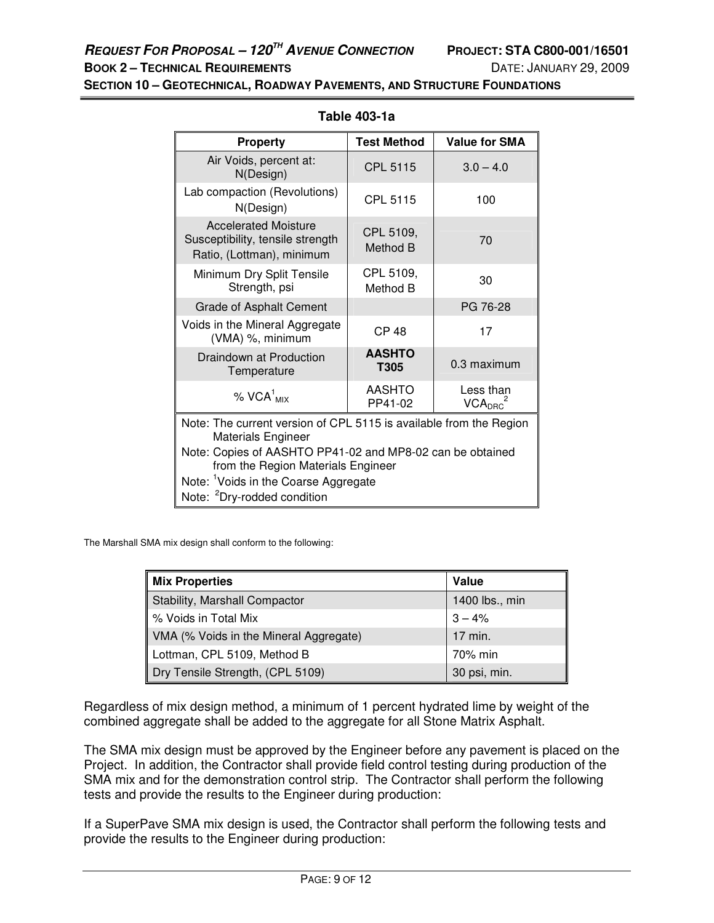**SECTION 10 – GEOTECHNICAL, ROADWAY PAVEMENTS, AND STRUCTURE FOUNDATIONS**

| <b>Property</b>                                                                                 | <b>Test Method</b>    | <b>Value for SMA</b> |  |  |
|-------------------------------------------------------------------------------------------------|-----------------------|----------------------|--|--|
| Air Voids, percent at:<br>N(Design)                                                             | <b>CPL 5115</b>       | $3.0 - 4.0$          |  |  |
| Lab compaction (Revolutions)<br>N(Design)                                                       | CPL 5115              | 100                  |  |  |
| <b>Accelerated Moisture</b><br>Susceptibility, tensile strength<br>Ratio, (Lottman), minimum    | CPL 5109,<br>Method B | 70                   |  |  |
| Minimum Dry Split Tensile<br>Strength, psi                                                      | CPL 5109,<br>Method B | 30                   |  |  |
| <b>Grade of Asphalt Cement</b>                                                                  |                       | PG 76-28             |  |  |
| Voids in the Mineral Aggregate<br>(VMA) %, minimum                                              | <b>CP 48</b>          | 17                   |  |  |
| <b>AASHTO</b><br>Draindown at Production<br>0.3 maximum<br>T305<br>Temperature                  |                       |                      |  |  |
| AASHTO<br>Less than<br>$% VCA1_{MIX}$<br>VCA <sub>DRC</sub> <sup>2</sup><br>PP41-02             |                       |                      |  |  |
| Note: The current version of CPL 5115 is available from the Region<br><b>Materials Engineer</b> |                       |                      |  |  |
| Note: Copies of AASHTO PP41-02 and MP8-02 can be obtained<br>from the Region Materials Engineer |                       |                      |  |  |
| Note: <sup>1</sup> Voids in the Coarse Aggregate                                                |                       |                      |  |  |
| Note: <sup>2</sup> Dry-rodded condition                                                         |                       |                      |  |  |

**Table 403-1a** 

The Marshall SMA mix design shall conform to the following:

| <b>Mix Properties</b>                  | Value          |
|----------------------------------------|----------------|
| Stability, Marshall Compactor          | 1400 lbs., min |
| % Voids in Total Mix                   | $3 - 4%$       |
| VMA (% Voids in the Mineral Aggregate) | 17 min.        |
| Lottman, CPL 5109, Method B            | 70% min        |
| Dry Tensile Strength, (CPL 5109)       | 30 psi, min.   |

Regardless of mix design method, a minimum of 1 percent hydrated lime by weight of the combined aggregate shall be added to the aggregate for all Stone Matrix Asphalt.

The SMA mix design must be approved by the Engineer before any pavement is placed on the Project. In addition, the Contractor shall provide field control testing during production of the SMA mix and for the demonstration control strip. The Contractor shall perform the following tests and provide the results to the Engineer during production:

If a SuperPave SMA mix design is used, the Contractor shall perform the following tests and provide the results to the Engineer during production: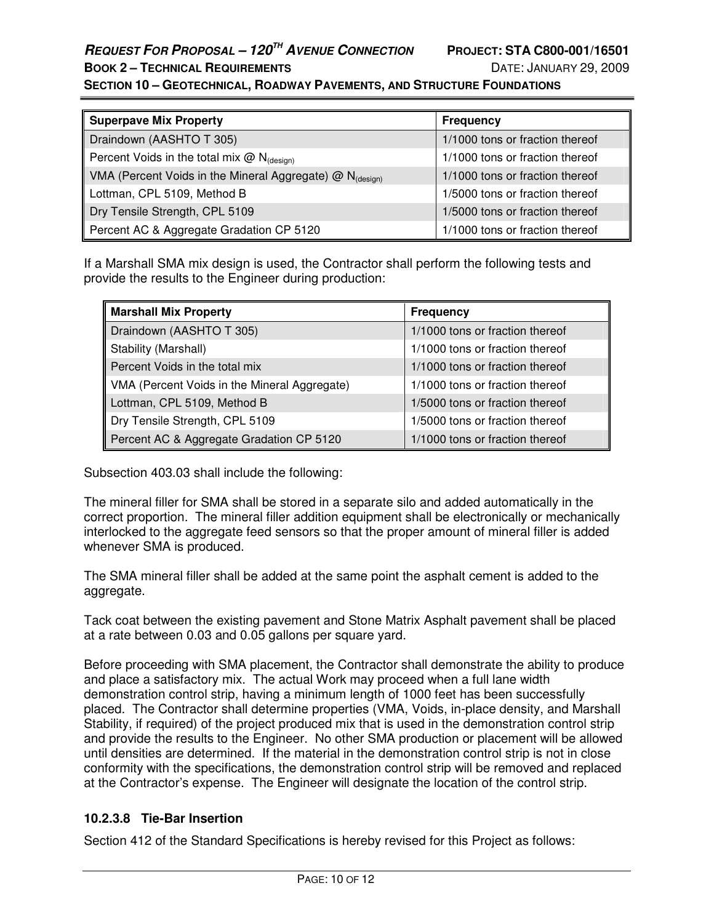**SECTION 10 – GEOTECHNICAL, ROADWAY PAVEMENTS, AND STRUCTURE FOUNDATIONS**

| <b>Superpave Mix Property</b>                                        | <b>Frequency</b>                |
|----------------------------------------------------------------------|---------------------------------|
| Draindown (AASHTO T 305)                                             | 1/1000 tons or fraction thereof |
| Percent Voids in the total mix $@N_{(design)}$                       | 1/1000 tons or fraction thereof |
| VMA (Percent Voids in the Mineral Aggregate) @ N <sub>(desian)</sub> | 1/1000 tons or fraction thereof |
| Lottman, CPL 5109, Method B                                          | 1/5000 tons or fraction thereof |
| Dry Tensile Strength, CPL 5109                                       | 1/5000 tons or fraction thereof |
| Percent AC & Aggregate Gradation CP 5120                             | 1/1000 tons or fraction thereof |

If a Marshall SMA mix design is used, the Contractor shall perform the following tests and provide the results to the Engineer during production:

| <b>Marshall Mix Property</b>                 | <b>Frequency</b>                |
|----------------------------------------------|---------------------------------|
| Draindown (AASHTO T 305)                     | 1/1000 tons or fraction thereof |
| Stability (Marshall)                         | 1/1000 tons or fraction thereof |
| Percent Voids in the total mix               | 1/1000 tons or fraction thereof |
| VMA (Percent Voids in the Mineral Aggregate) | 1/1000 tons or fraction thereof |
| Lottman, CPL 5109, Method B                  | 1/5000 tons or fraction thereof |
| Dry Tensile Strength, CPL 5109               | 1/5000 tons or fraction thereof |
| Percent AC & Aggregate Gradation CP 5120     | 1/1000 tons or fraction thereof |

Subsection 403.03 shall include the following:

The mineral filler for SMA shall be stored in a separate silo and added automatically in the correct proportion. The mineral filler addition equipment shall be electronically or mechanically interlocked to the aggregate feed sensors so that the proper amount of mineral filler is added whenever SMA is produced.

The SMA mineral filler shall be added at the same point the asphalt cement is added to the aggregate.

Tack coat between the existing pavement and Stone Matrix Asphalt pavement shall be placed at a rate between 0.03 and 0.05 gallons per square yard.

Before proceeding with SMA placement, the Contractor shall demonstrate the ability to produce and place a satisfactory mix. The actual Work may proceed when a full lane width demonstration control strip, having a minimum length of 1000 feet has been successfully placed. The Contractor shall determine properties (VMA, Voids, in-place density, and Marshall Stability, if required) of the project produced mix that is used in the demonstration control strip and provide the results to the Engineer. No other SMA production or placement will be allowed until densities are determined. If the material in the demonstration control strip is not in close conformity with the specifications, the demonstration control strip will be removed and replaced at the Contractor's expense. The Engineer will designate the location of the control strip.

### **10.2.3.8 Tie-Bar Insertion**

Section 412 of the Standard Specifications is hereby revised for this Project as follows: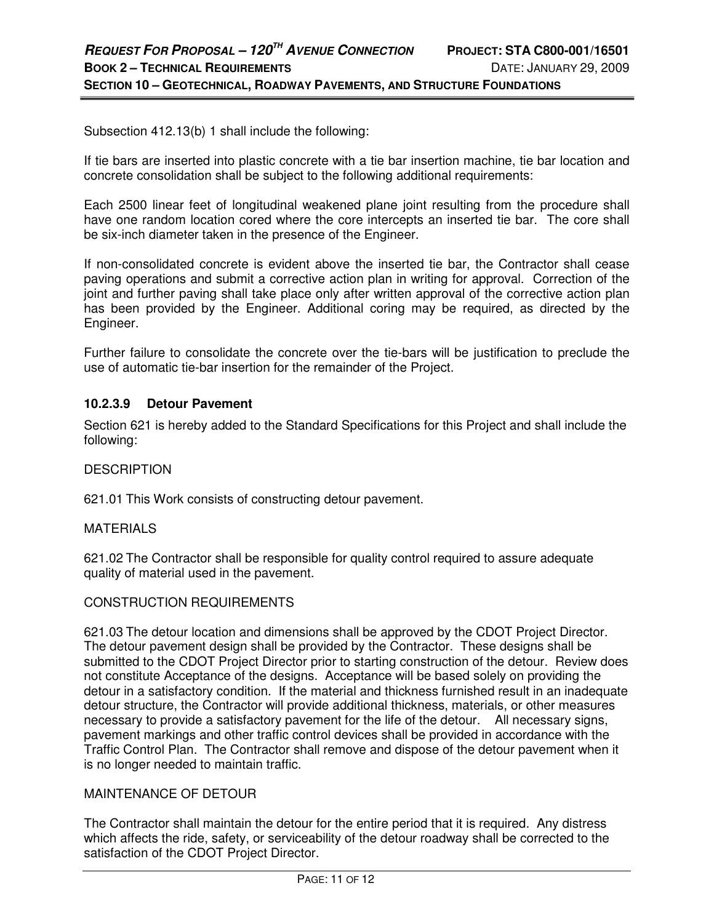Subsection 412.13(b) 1 shall include the following:

If tie bars are inserted into plastic concrete with a tie bar insertion machine, tie bar location and concrete consolidation shall be subject to the following additional requirements:

Each 2500 linear feet of longitudinal weakened plane joint resulting from the procedure shall have one random location cored where the core intercepts an inserted tie bar. The core shall be six-inch diameter taken in the presence of the Engineer.

If non-consolidated concrete is evident above the inserted tie bar, the Contractor shall cease paving operations and submit a corrective action plan in writing for approval. Correction of the joint and further paving shall take place only after written approval of the corrective action plan has been provided by the Engineer. Additional coring may be required, as directed by the Engineer.

Further failure to consolidate the concrete over the tie-bars will be justification to preclude the use of automatic tie-bar insertion for the remainder of the Project.

### **10.2.3.9 Detour Pavement**

Section 621 is hereby added to the Standard Specifications for this Project and shall include the following:

### **DESCRIPTION**

621.01 This Work consists of constructing detour pavement.

#### **MATERIALS**

621.02 The Contractor shall be responsible for quality control required to assure adequate quality of material used in the pavement.

### CONSTRUCTION REQUIREMENTS

621.03 The detour location and dimensions shall be approved by the CDOT Project Director. The detour pavement design shall be provided by the Contractor. These designs shall be submitted to the CDOT Project Director prior to starting construction of the detour. Review does not constitute Acceptance of the designs. Acceptance will be based solely on providing the detour in a satisfactory condition. If the material and thickness furnished result in an inadequate detour structure, the Contractor will provide additional thickness, materials, or other measures necessary to provide a satisfactory pavement for the life of the detour. All necessary signs, pavement markings and other traffic control devices shall be provided in accordance with the Traffic Control Plan. The Contractor shall remove and dispose of the detour pavement when it is no longer needed to maintain traffic.

### MAINTENANCE OF DETOUR

The Contractor shall maintain the detour for the entire period that it is required. Any distress which affects the ride, safety, or serviceability of the detour roadway shall be corrected to the satisfaction of the CDOT Project Director.